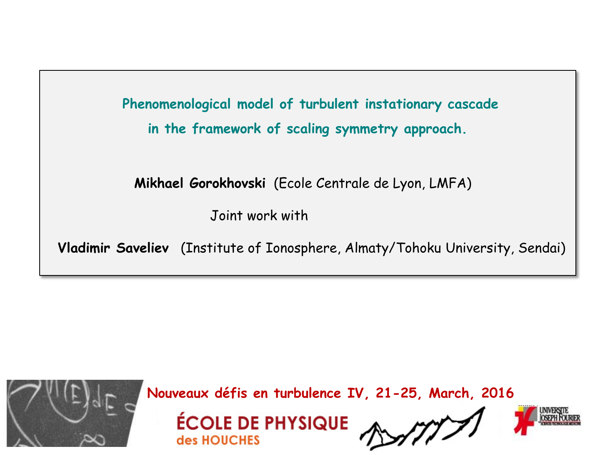**Phenomenological model of turbulent instationary cascade in the framework of scaling symmetry approach.**

 **Mikhael Gorokhovski** (Ecole Centrale de Lyon, LMFA)

Joint work with

**Vladimir Saveliev** (Institute of Ionosphere, Almaty/Tohoku University, Sendai)



**Nouveaux défis en turbulence IV, 21-25, March, 2016**



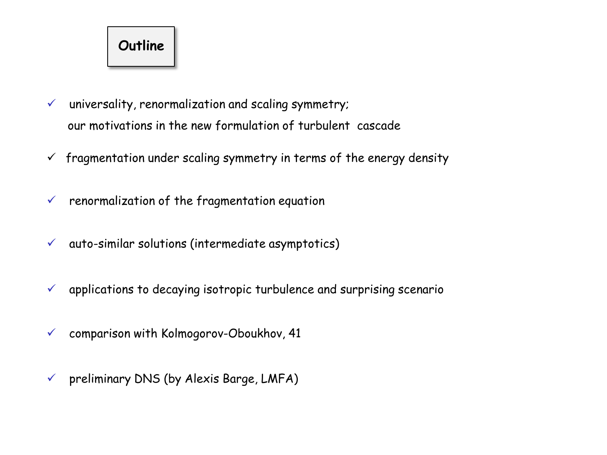

- $\checkmark$  universality, renormalization and scaling symmetry; our motivations in the new formulation of turbulent cascade
- $\checkmark$  fragmentation under scaling symmetry in terms of the energy density
- $\checkmark$  renormalization of the fragmentation equation
- $\checkmark$  auto-similar solutions (intermediate asymptotics)
- $\checkmark$  applications to decaying isotropic turbulence and surprising scenario
- $\checkmark$  comparison with Kolmogorov-Oboukhov, 41
- $\checkmark$  preliminary DNS (by Alexis Barge, LMFA)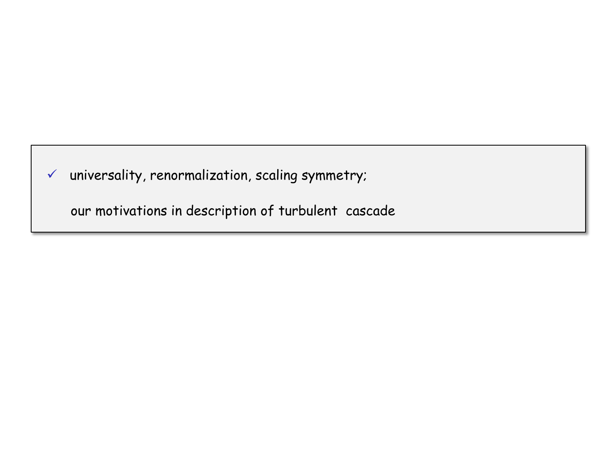$\checkmark$  universality, renormalization, scaling symmetry;

our motivations in description of turbulent cascade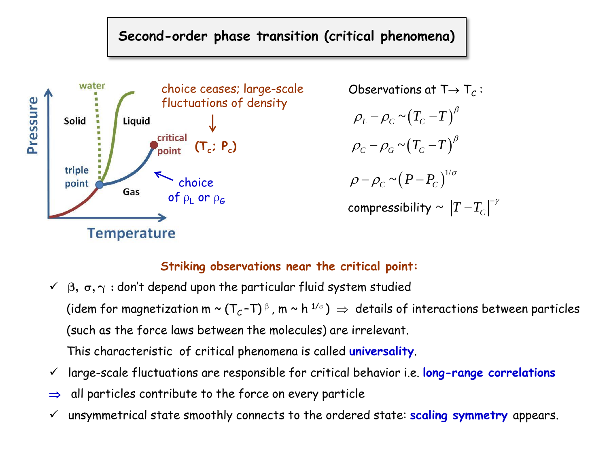### **Second-order phase transition (critical phenomena)**



Observations at T $\rightarrow$  T $_C$  :  $\rho_{_L}$  –  $\rho_{_C}$  ~  $\left(T_c$  –  $T\right)^{\beta}$  $\rho_{C}$  –  $\rho_{G}$  ~  $(T_{C}$  –  $T$  )<sup> $\beta$ </sup>  $(P-P_C)^{1/2}$  $\rho-\rho_{C}\thicksim(P-P_{C})^{1/\sigma}$ compressibility  $\sim \left|T\!-\!T_{C}\right|^{-\gamma}$ 

### **Striking observations near the critical point:**

- $\checkmark$   $\beta$ ,  $\sigma$ ,  $\gamma$  : don't depend upon the particular fluid system studied (idem for magnetization m ~ (T $_c$ -T)  $^\text{\tiny{\textregistered}}$  , m ~ h  $^{1/\text{\tiny{\textregistered}}})$   $\Rightarrow$  details of interactions between particles (such as the force laws between the molecules) are irrelevant. This characteristic of critical phenomena is called **universality**.
- large-scale fluctuations are responsible for critical behavior i.e. **long-range correlations**
- $\Rightarrow$  all particles contribute to the force on every particle
- unsymmetrical state smoothly connects to the ordered state: **scaling symmetry** appears.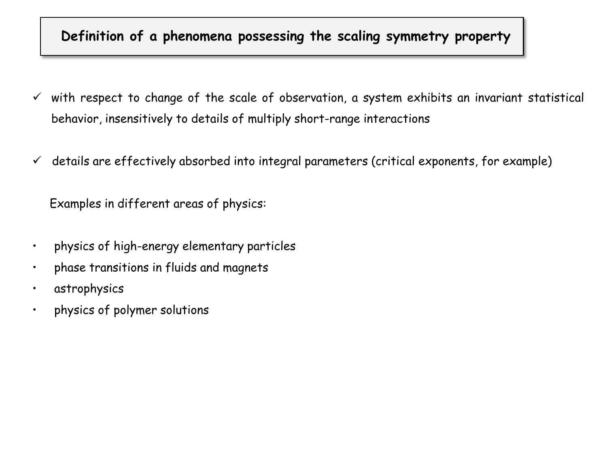### **Definition of a phenomena possessing the scaling symmetry property**

- $\checkmark$  with respect to change of the scale of observation, a system exhibits an invariant statistical behavior, insensitively to details of multiply short-range interactions
- $\checkmark$  details are effectively absorbed into integral parameters (critical exponents, for example)

Examples in different areas of physics:

- physics of high-energy elementary particles
- phase transitions in fluids and magnets
- astrophysics
- physics of polymer solutions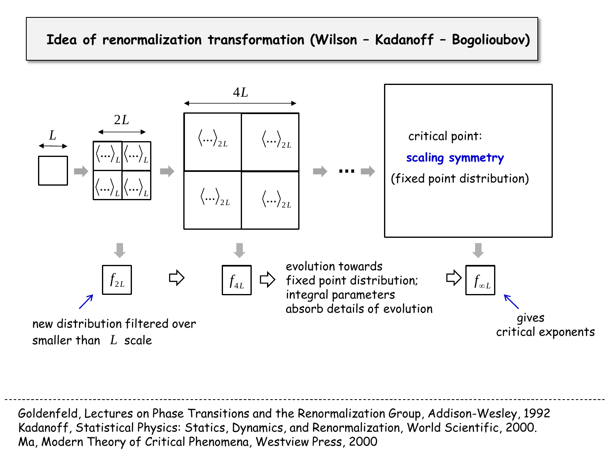### **Idea of renormalization transformation (Wilson – Kadanoff – Bogolioubov)**



Goldenfeld, Lectures on Phase Transitions and the Renormalization Group, Addison-Wesley, 1992 Kadanoff, Statistical Physics: Statics, Dynamics, and Renormalization, World Scientific, 2000. maller than *L* scale<br>
Soldenfeld, Lectures on Phase Transitions and the Renormalization<br>
Kadanoff, Statistical Physics: Statics, Dynamics, and Renormaliza<br>
Ma, Modern Theory of Critical Phenomena, Westview Press, 2000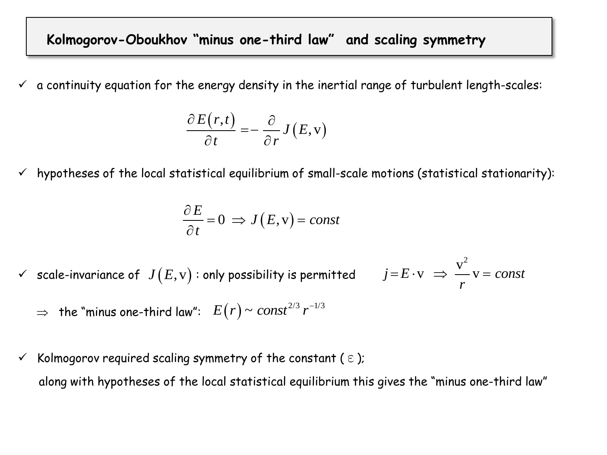### **Kolmogorov-Oboukhov "minus one-third law" and scaling symmetry**

 $\checkmark$  a continuity equation for the energy density in the inertial range of turbulent length-scales:

$$
\frac{\partial E(r,t)}{\partial t} = -\frac{\partial}{\partial r}J(E,v)
$$

 $\checkmark$  hypotheses of the local statistical equilibrium of small-scale motions (statistical stationarity):

$$
\frac{\partial E}{\partial t} = 0 \implies J(E, v) = const
$$

- $\checkmark$  -scale-invariance of  $\ J(E, \mathrm{v})$  : only possibility is permitted  $j = E \cdot v \Rightarrow \frac{v^2}{v} = const$ *r*  $=E \cdot v \Rightarrow \frac{v^2}{v} = co$ 
	- $\Rightarrow$  the "minus one-third law":  $E(r)$  ~  $const^{2/3}$   $r^{-1/3}$
- $\checkmark$  Kolmogorov required scaling symmetry of the constant ( $\epsilon$ ); along with hypotheses of the local statistical equilibrium this gives the "minus one-third law"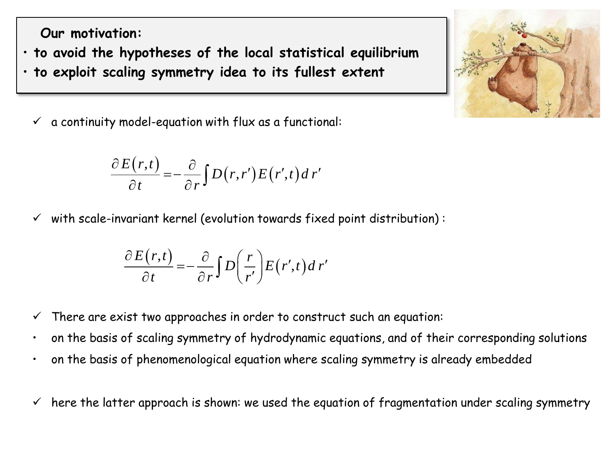**Our motivation:** 

- **to avoid the hypotheses of the local statistical equilibrium**
- **to exploit scaling symmetry idea to its fullest extent** 
	- $\checkmark$  a continuity model-equation with flux as a functional:

$$
\frac{\partial E(r,t)}{\partial t} = -\frac{\partial}{\partial r} \int D(r,r') E(r',t) dr'
$$

 $\checkmark$  with scale-invariant kernel (evolution towards fixed point distribution):

$$
\frac{\partial E(r,t)}{\partial t} = -\frac{\partial}{\partial r} \int D\left(\frac{r}{r'}\right) E(r',t) dr'
$$

- $\checkmark$  There are exist two approaches in order to construct such an equation:
- on the basis of scaling symmetry of hydrodynamic equations, and of their corresponding solutions
- on the basis of phenomenological equation where scaling symmetry is already embedded
- $\checkmark$  here the latter approach is shown: we used the equation of fragmentation under scaling symmetry

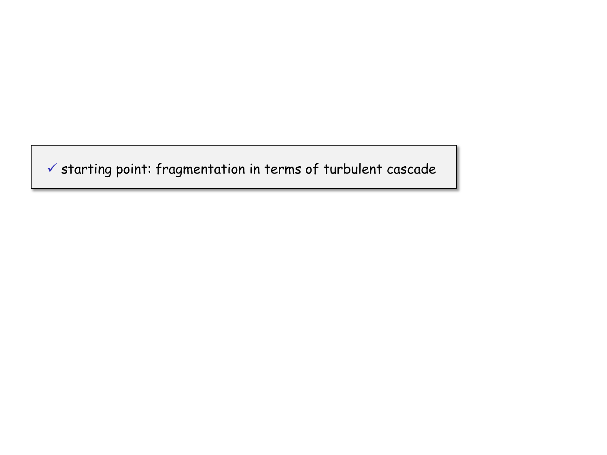$\checkmark$  starting point: fragmentation in terms of turbulent cascade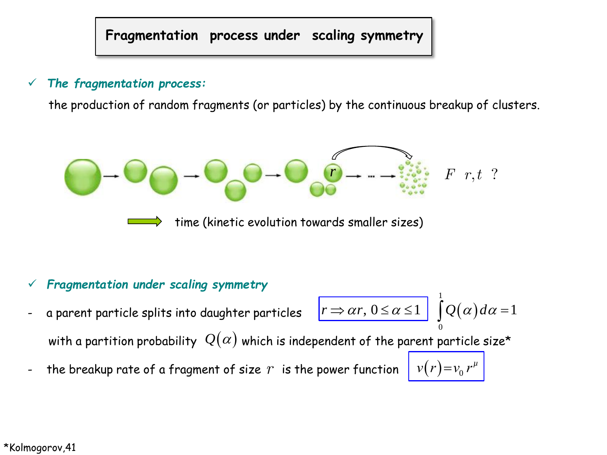**Fragmentation process under scaling symmetry**

### *The fragmentation process:*

the production of random fragments (or particles) by the continuous breakup of clusters.



### *Fragmentation under scaling symmetry*

a parent particle splits into daughter particles with a partition probability  $\,\mathcal{Q}(\alpha)\,$  which is independent of the parent particle size\*  $(\alpha)$ 0  $r \Rightarrow \alpha r, 0 \leq \alpha \leq 1$  $Q(\alpha)$ 

1

 $v(r) = v_0 r^{\mu}$ 

- the breakup rate of a fragment of size is the power function *r* <sup>0</sup>

\*Kolmogorov,41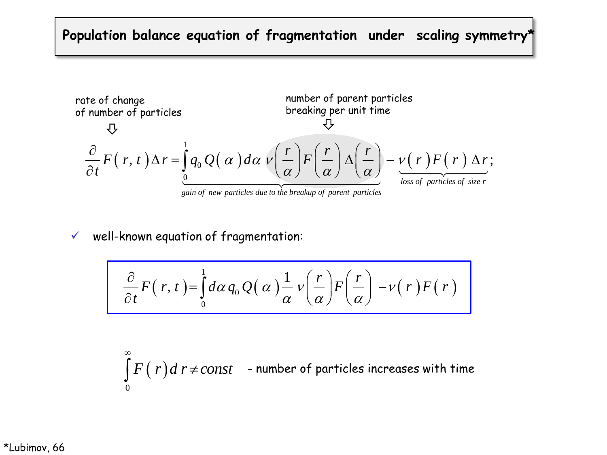# **Population balance equation of fragmentation under scaling symmetry\***

rate of change  
of number of particles  
the taking per unit time  

$$
\frac{\partial}{\partial t} F(r, t) \Delta r = \int_{0}^{1} q_0 Q(\alpha) d\alpha \nu \left(\frac{r}{\alpha}\right) F\left(\frac{r}{\alpha}\right) \Delta \left(\frac{r}{\alpha}\right) - \underbrace{\nu(r) F(r) \Delta r}_{loss of particles of size r}
$$

*gain of new particles due to the breakup of parent particles*

#### $\checkmark$  well-known equation of fragmentation:

-known equation of fragmentation.  
\n
$$
\frac{\partial}{\partial t}F(r,t) = \int_0^1 d\alpha q_0 Q(\alpha) \frac{1}{\alpha} v\left(\frac{r}{\alpha}\right) F\left(\frac{r}{\alpha}\right) - v(r) F(r)
$$

 $F(r)$ d r  $\neq$ const 0  $\infty$  $\int\! F\big(\; r\big)d\,r \!\neq \!const \quad$  - number of particles increases with time

\*Lubimov, 66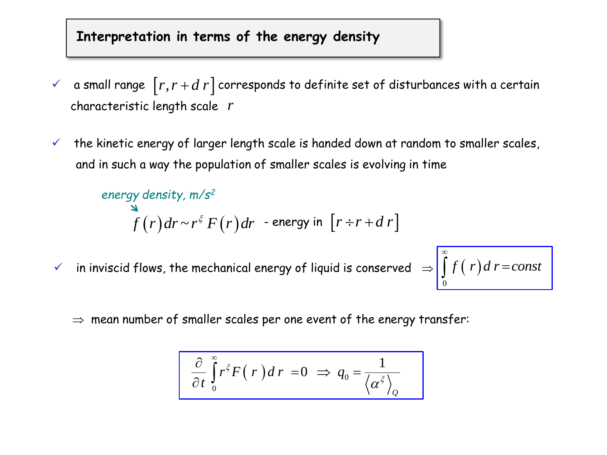### **Interpretation in terms of the energy density**

- $\checkmark$  a small range  $\lceil r, r+d \ r \rceil$  corresponds to definite set of disturbances with a certain characteristic length scale *r*
- $\checkmark$  the kinetic energy of larger length scale is handed down at random to smaller scales, and in such a way the population of smaller scales is evolving in time

```
\int f(r)dr ~ r^{\xi} F(r)dr - energy in \left[ r\mathop{\dot{+}} r+d\,r\right]energy density, m/s2
```
 $\checkmark$  in inviscid flows, the mechanical energy of liquid is conserved  $\Rightarrow$ 

$$
\int_{0}^{\infty} f(r) dr = const
$$

 $\Rightarrow$  mean number of smaller scales per one event of the energy transfer:

$$
\frac{\partial}{\partial t}\int_{0}^{\infty}r^{\xi}F(r)dr=0 \Rightarrow q_{0}=\frac{1}{\left\langle \alpha^{\xi}\right\rangle _{\mathcal{Q}}}
$$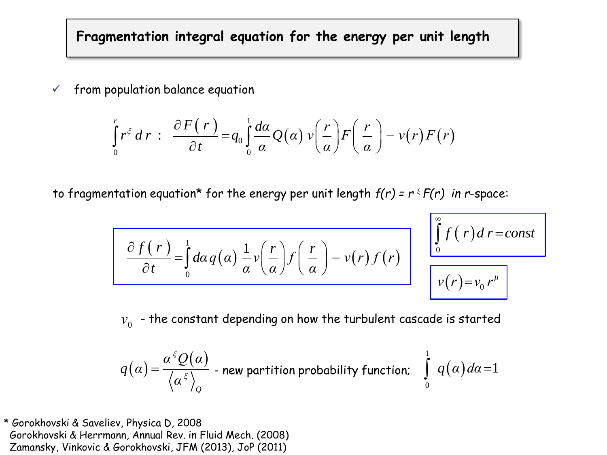**Fragmentation integral equation for the energy per unit length**

 $\checkmark$  from population balance equation

opulation balance equation  
\n
$$
\int_{0}^{r} r^{\xi} dr : \frac{\partial F(r)}{\partial t} = q_{0} \int_{0}^{1} \frac{d\alpha}{\alpha} Q(\alpha) v\left(\frac{r}{\alpha}\right) F\left(\frac{r}{\alpha}\right) - v(r) F(r)
$$

to fragmentation equation<sup>\*</sup> for the energy per unit length  $f(r) = r \cdot F(r)$  in *r*-space:

$$
\frac{\partial f(r)}{\partial t} = \int_{0}^{1} d\alpha q(\alpha) \frac{1}{\alpha} v\left(\frac{r}{\alpha}\right) f\left(\frac{r}{\alpha}\right) - v(r) f(r)
$$

$$
\int_{0}^{\infty} f(r) dr = const
$$
  

$$
v(r) = v_0 r^{\mu}
$$

 $\bm{\nu}_{0}^{\phantom{\dag}}$  - the constant depending on how the turbulent cascade is started

$$
q\big(\alpha\big)=\frac{\alpha^{\frac{\varepsilon}{2}}Q(\alpha)}{\left<\alpha^{\frac{\varepsilon}{2}}\right>_{\mathcal{Q}}}
$$
 - new partition probability function; 
$$
\int\limits_{0}^{1}q\big(\alpha\big)d\alpha=1
$$

\* Gorokhovski & Saveliev, Physica D, 2008 Gorokhovski & Herrmann, Annual Rev. in Fluid Mech. (2008) Zamansky, Vinkovic & Gorokhovski, JFM (2013), JoP (2011)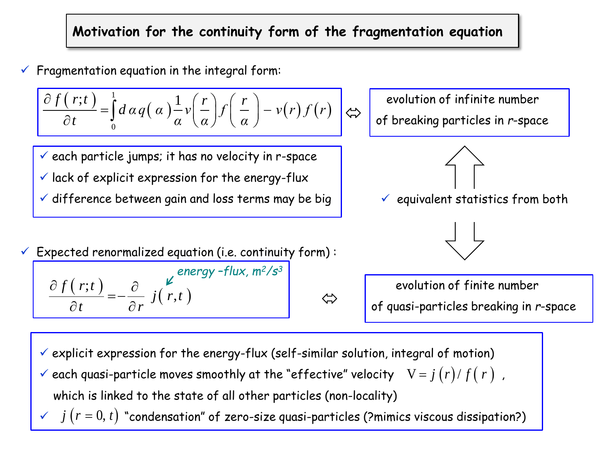## **Motivation for the continuity form of the fragmentation equation**

$$
\checkmark
$$
 Fragmentation equation in the integral form:  

$$
\frac{\partial f(r;t)}{\partial t} = \int_0^1 d\alpha q(\alpha) \frac{1}{\alpha} v\left(\frac{r}{\alpha}\right) f\left(\frac{r}{\alpha}\right) - v(r) f(r) \quad \Leftrightarrow
$$

 $\checkmark$  each particle jumps; it has no velocity in r-space  $\checkmark$  lack of explicit expression for the energy-flux

 $\checkmark$  difference between gain and loss terms may be big  $\checkmark$  equivalent statistics from both

 $\checkmark$  Expected renormalized equation (i.e. continuity form): *energy –flux, m<sup>2</sup>/s<sup>3</sup>*

$$
\frac{\partial f(r;t)}{\partial t} = -\frac{\partial}{\partial r} j(r,t)
$$

 evolution of infinite number of breaking particles in *r*-space





 evolution of finite number of quasi-particles breaking in *r*-space

- $\checkmark$  explicit expression for the energy-flux (self-similar solution, integral of motion)
- $\checkmark$  each quasi-particle moves smoothly at the "effective" velocity  $N=j(r)/f(r)$  ,  $\checkmark$  each quasi-particle moves smoothly at the "effective" velocity  $V = j (r)/f(r)$ ,<br>which is linked to the state of all other particles (non-locality)<br> $\checkmark$   $j (r = 0, t)$  "condensation" of zero-size quasi-particles (?mimics v

which is linked to the state of all other particles (non-locality)

⇐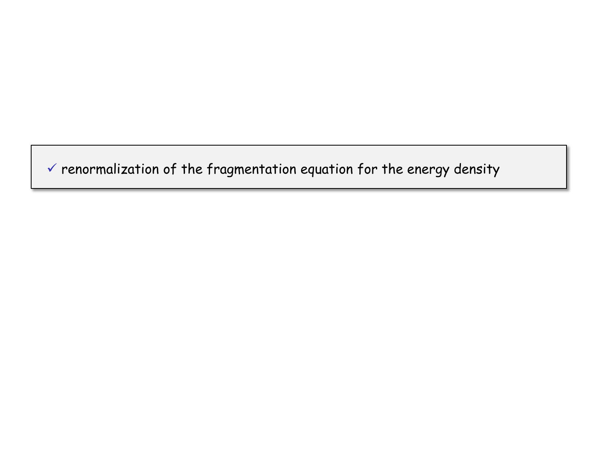$\checkmark$  renormalization of the fragmentation equation for the energy density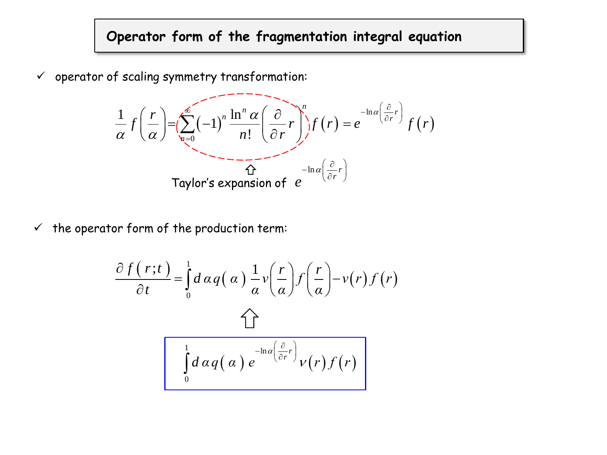# **Operator form of the fragmentation integral equation**

$$
\checkmark \text{ operator of scaling symmetry transformation:}
$$
\n
$$
\frac{1}{\alpha} f\left(\frac{r}{\alpha}\right) = \left(\sum_{n=0}^{\infty} (-1)^n \frac{\ln^n \alpha}{n!} \left(\frac{\partial}{\partial r} r\right)^n f(r) = e^{-\ln(\left(\frac{\partial}{\partial r} r\right))} f(r)
$$
\n
$$
\text{Taylor's expansion of } e^{-\ln(\left(\frac{\partial}{\partial r} r\right))}
$$

 $\checkmark$  the operator form of the production term:

$$
\frac{\partial f(r;t)}{\partial t} = \int_{0}^{1} d\alpha q(\alpha) \frac{1}{\alpha} v\left(\frac{r}{\alpha}\right) f\left(\frac{r}{\alpha}\right) - v(r) f(r)
$$
\n
$$
\int_{0}^{1} d\alpha q(\alpha) e^{-\ln(\frac{\partial}{\partial r}r)} v(r) f(r)
$$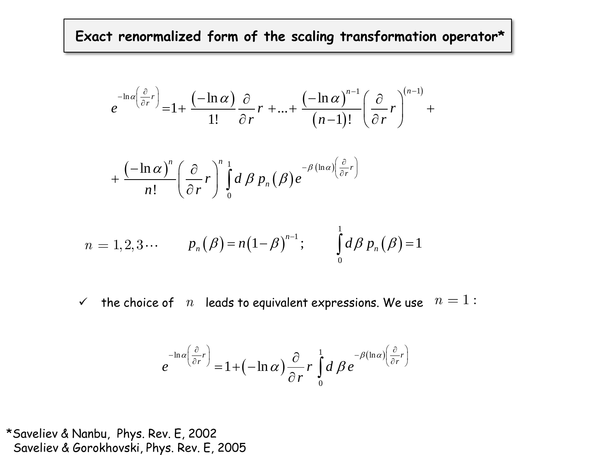**Exact renormalized form of the scaling transformation operator\*** 

$$
e^{-\ln a\left(\frac{\partial}{\partial r}r\right)} = 1 + \frac{\left(-\ln \alpha\right)}{1!} \frac{\partial}{\partial r} r + ... + \frac{\left(-\ln \alpha\right)^{n-1}}{\left(n-1\right)!} \left(\frac{\partial}{\partial r}r\right)^{\left(n-1\right)} +
$$

$$
+\frac{\left(-\ln\alpha\right)^n}{n!}\left(\frac{\partial}{\partial r}r\right)^n\int\limits_{0}^{1}d\beta\,p_n(\beta)e^{-\beta\left(\ln\alpha\right)\left(\frac{\partial}{\partial r}r\right)}
$$

$$
n = 1, 2, 3 \cdots
$$
  

$$
p_n(\beta) = n(1-\beta)^{n-1};
$$
  

$$
\int_0^1 d\beta p_n(\beta) = 1
$$
  

$$
\checkmark
$$
 the choice of *n* leads to equivalent expressions. We use  $n = 1$ :

$$
e^{-\ln\alpha\left(\frac{\partial}{\partial r}r\right)} = 1 + (-\ln\alpha)\frac{\partial}{\partial r}r\int_{0}^{1} d\beta e^{-\beta(\ln\alpha)\left(\frac{\partial}{\partial r}r\right)}
$$

\*Saveliev & Nanbu, Phys. Rev. E, 2002  $\checkmark$  the choice of  $n$  leads to<br>  $e^{-\ln \alpha \left(\frac{\partial}{\partial r}r\right)} = 1 + (-1)^n$ <br>
\*Saveliev & Nanbu, Phys. Rev. E, 2002<br>
Saveliev & Gorokhovski, Phys. Rev. E, 2005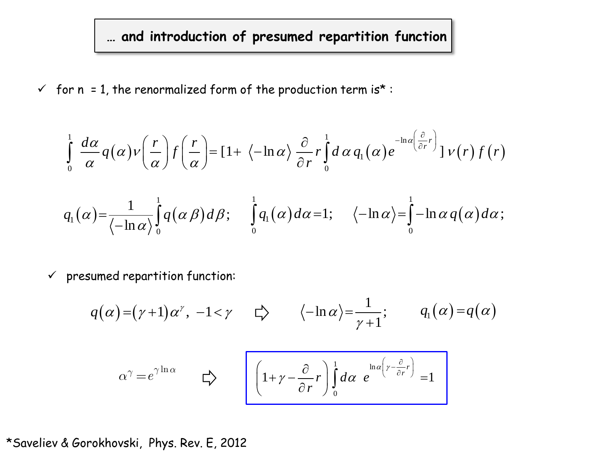**… and introduction of presumed repartition function** 

$$
\checkmark \quad \text{for } n = 1, \text{ the renormalized form of the production term is* :}
$$
\n
$$
\int_{0}^{1} \frac{d\alpha}{\alpha} q(\alpha) \nu \left(\frac{r}{\alpha}\right) f\left(\frac{r}{\alpha}\right) = \left[1 + \left\langle -\ln \alpha \right\rangle \frac{\partial}{\partial r} r \right]_{0}^{1} d\alpha q_{1}(\alpha) e^{-\ln \alpha \left(\frac{\partial}{\partial r} r\right)} \left[ \nu(r) f(r) \right]
$$
\n
$$
q_{1}(\alpha) = \frac{1}{\left\langle -\ln \alpha \right\rangle} \int_{0}^{1} q(\alpha \beta) d\beta; \quad \int_{0}^{1} q_{1}(\alpha) d\alpha = 1; \quad \left\langle -\ln \alpha \right\rangle = \int_{0}^{1} -\ln \alpha q(\alpha) d\alpha;
$$

 $\checkmark$  presumed repartition function:

$$
q(\alpha) = (\gamma + 1)\alpha^{\gamma}, -1 < \gamma \qquad \zeta \rangle \qquad \langle -\ln \alpha \rangle = \frac{1}{\gamma + 1}; \qquad q_1(\alpha) = q(\alpha)
$$

$$
\alpha^{\gamma} = e^{\gamma \ln \alpha} \qquad \zeta \rangle \qquad \left[ \left( 1 + \gamma - \frac{\partial}{\partial r} r \right) \int_{0}^{1} d\alpha \ e^{\ln \alpha \left( \gamma - \frac{\partial}{\partial r} r \right)} = 1 \right]
$$

### \*Saveliev & Gorokhovski, Phys. Rev. E, 2012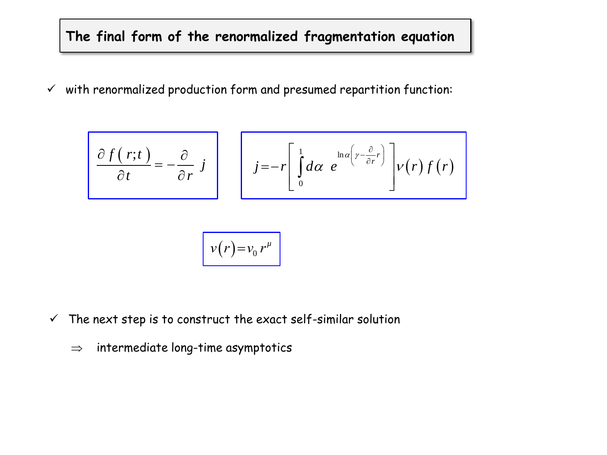## **The final form of the renormalized fragmentation equation**

 $\checkmark$  with renormalized production form and presumed repartition function:

$$
\frac{\partial f(r;t)}{\partial t} = -\frac{\partial}{\partial r} j \qquad j = -r \left[ \int_0^1 d\alpha \ e^{-\ln \alpha \left(r - \frac{\partial}{\partial r} r\right)} \right] v(r) f(r)
$$

$$
v(r) = v_0 r^{\mu}
$$

- $\checkmark$  The next step is to construct the exact self-similar solution
	- $\Rightarrow$  intermediate long-time asymptotics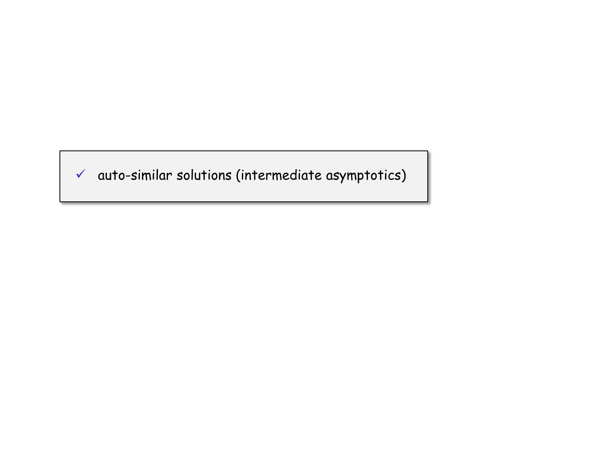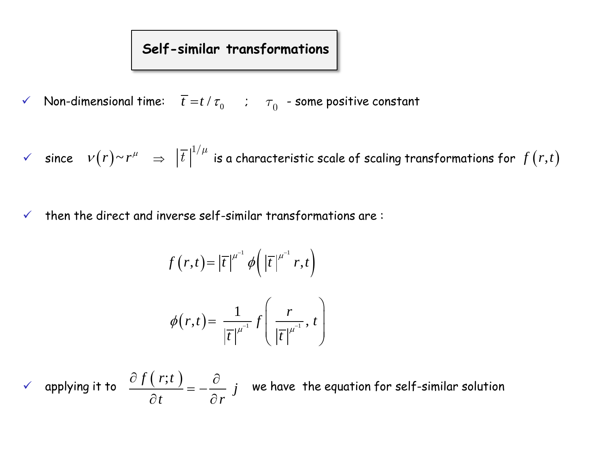# **Self-similar transformations**

 $\checkmark$  Non-dimensional time:  $\bar{t} = t / \tau_0$  ;  $\tau_0$  - some positive constant

 $\checkmark$  since  $\iota \nu(r)$ ~ $r^\mu$   $\;\Rightarrow\; |t|$   $\check{ }$  is a characteristic scale of scaling transformations for  $\displaystyle \frac{1}{\|r\|^{1/\mu}} \ \Rightarrow \ \left|\overline{t}\right|^{1/\mu}$  is a characteristic scale of scaling transformations for  $\,f\big(r,t\big)$ 

 $\checkmark$  then the direct and inverse self-similar transformations are:

$$
f(r,t) = |\overline{t}|^{\mu^{-1}} \phi\left(|\overline{t}|^{\mu^{-1}} r,t\right)
$$

$$
\phi(r,t) = \frac{1}{|\overline{t}|^{\mu^{-1}}} f\left(\frac{r}{|\overline{t}|^{\mu^{-1}}},t\right)
$$

 $\checkmark$  applying it to  $\frac{\partial f(r;t)}{\partial t} = -\frac{\partial}{\partial t}$  *i* we have the equation for self-similar solution  $\frac{\partial f}{\partial t}$  *t* =  $-\frac{\partial}{\partial r}$  *j*  $\frac{\partial f(r;t)}{\partial t} = -\frac{\partial}{\partial t}$  $\frac{\partial}{\partial t} = -\frac{\partial}{\partial r}$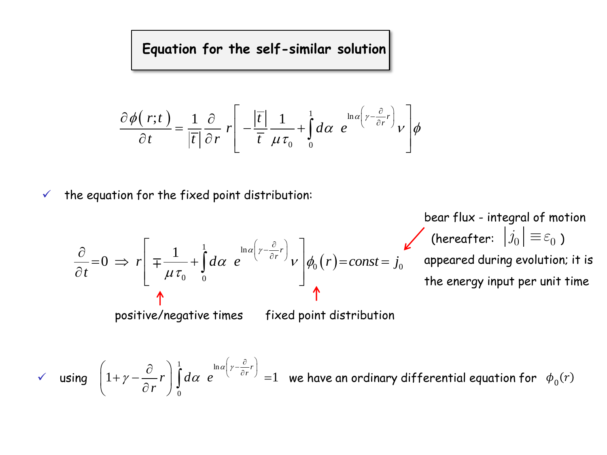**Equation for the self-similar solution**

$$
\frac{\partial \phi(r;t)}{\partial t} = \frac{1}{|\overline{t}|} \frac{\partial}{\partial r} r \left[ -\frac{|\overline{t}|}{\overline{t}} \frac{1}{\mu \tau_0} + \int_0^1 d\alpha \ e^{\ln \alpha \left(r - \frac{\partial}{\partial r} r\right)} v \right] \phi
$$

 $\checkmark$  the equation for the fixed point distribution:

$$
\frac{\partial}{\partial t} = 0 \implies r \left[ \pm \frac{1}{\mu \tau_0} + \int_0^1 d\alpha \ e^{\ln \alpha \left( \gamma - \frac{\partial}{\partial r} r \right)} \nu \right] \phi_0(r) = const = j_0 \quad \text{(hereafter: } \left| j_0 \right| \equiv \varepsilon_0 \text{)}
$$
\n
$$
\Rightarrow \text{ positive/negative times} \quad \text{fixed point distribution}
$$
\n
$$
\Rightarrow \text{ using } \left( 1 + \gamma - \frac{\partial}{\partial r} r \right) \int_0^1 d\alpha \ e^{\ln \alpha \left( \gamma - \frac{\partial}{\partial r} r \right)} = 1 \quad \text{we have an ordinary differential equation for } \phi_0(r)
$$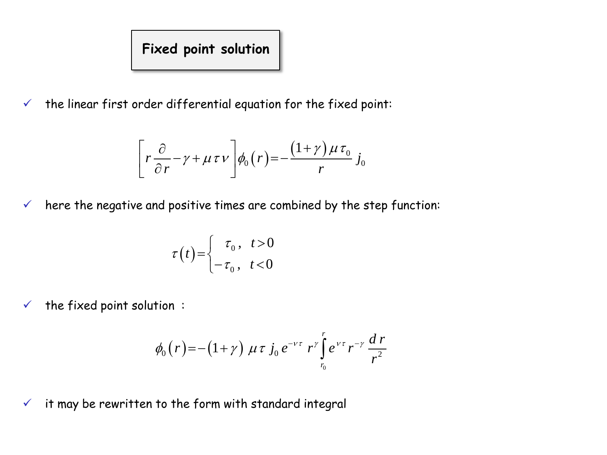# **Fixed point solution**

 $\checkmark$  the linear first order differential equation for the fixed point:

$$
\left[r\frac{\partial}{\partial r} - \gamma + \mu \tau v\right]\phi_0(r) = -\frac{(1+\gamma)\mu \tau_0}{r} j_0
$$

 $\checkmark$  here the negative and positive times are combined by the step function:

$$
\tau(t) = \begin{cases} \tau_0, & t > 0 \\ -\tau_0, & t < 0 \end{cases}
$$

 $\checkmark$  the fixed point solution :

$$
\phi_0(r) = -(1+\gamma) \mu \tau j_0 e^{-\nu \tau} r^{\gamma} \int_{r_0}^r e^{\nu \tau} r^{-\gamma} \frac{dr}{r^2}
$$

 $\checkmark$  it may be rewritten to the form with standard integral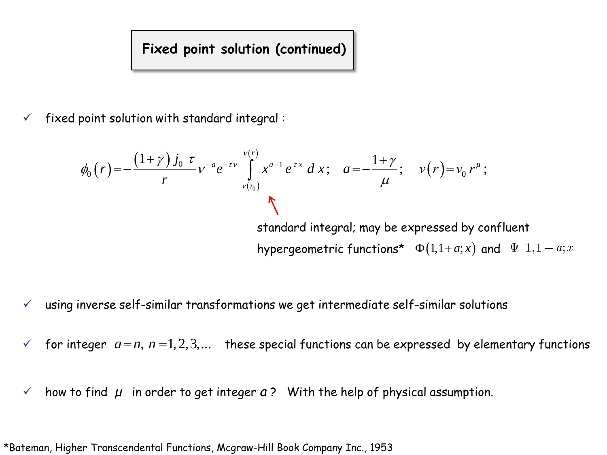### **Fixed point solution (continued)**

fixed point solution with standard integral :

$$
\phi_0(r) = -\frac{(1+\gamma)j_0 \tau}{r} v^{-a} e^{-\tau v} \int_{v(r_0)}^{v(r)} x^{a-1} e^{\tau x} dx; \quad a = -\frac{1+\gamma}{\mu}; \quad v(r) = v_0 r^{\mu};
$$
\nstandard integral: may be expressed by confluent hypergeometric functions\*  $\Phi(1, 1 + a; x)$  and  $\Psi(1, 1 + a; x)$ .

- $\checkmark$  using inverse self-similar transformations we get intermediate self-similar solutions
- for integer  $a = n$ ,  $n = 1, 2, 3,...$  these special functions can be expressed by elementary functions
- $\checkmark$  how to find  $\mu$  in order to get integer  $a$  ? With the help of physical assumption.

\*Bateman, Higher Transcendental Functions, Mcgraw-Hill Book Company Inc., 1953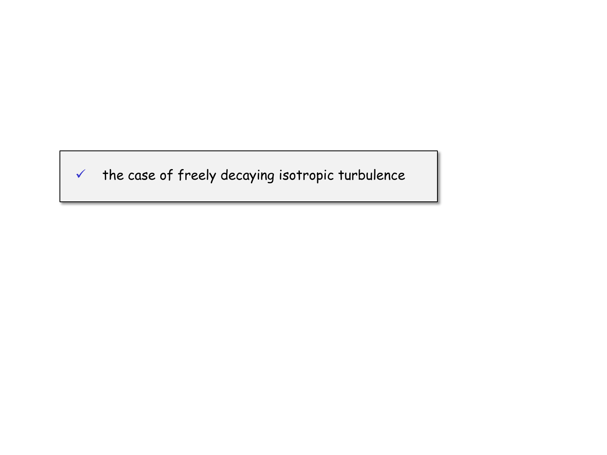

 $\checkmark$  the case of freely decaying isotropic turbulence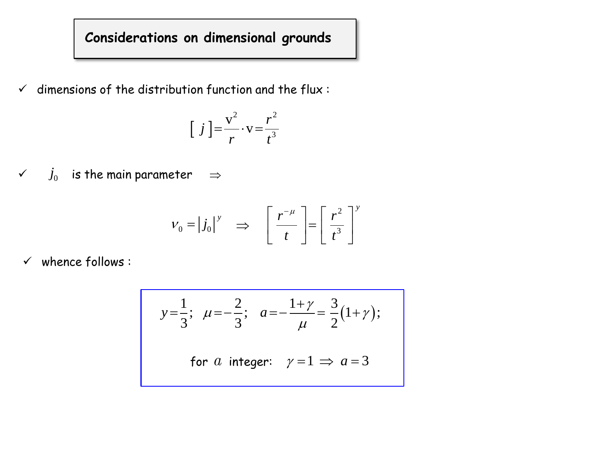# **Considerations on dimensional grounds**

 $\checkmark$  dimensions of the distribution function and the flux :

$$
\left[\right. \left.j\right. \left.\right]=\frac{v^2}{r} \cdot v = \frac{r^2}{t^3}
$$

 $\checkmark \quad j_0$  is the main parameter  $\quad \Rightarrow$ 

$$
V_0 = |j_0|^y \Rightarrow \left[\frac{r^{-\mu}}{t}\right] = \left[\frac{r^2}{t^3}\right]^y
$$

 $\checkmark$  whence follows :

$$
y = \frac{1}{3}
$$
;  $\mu = -\frac{2}{3}$ ;  $a = -\frac{1+\gamma}{\mu} = \frac{3}{2}(1+\gamma)$ ;  
for *a* integer:  $\gamma = 1 \implies a = 3$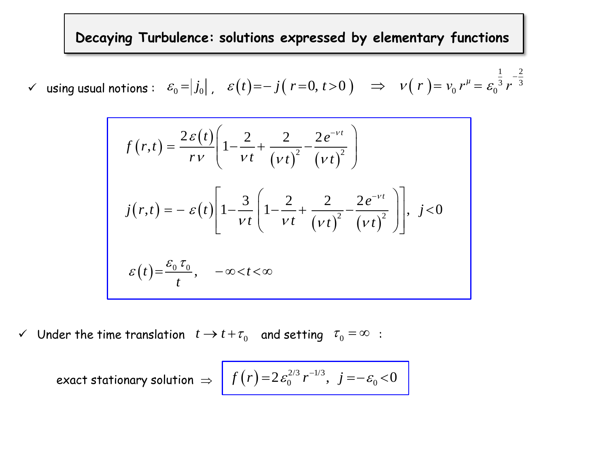**Decaying Turbulence: solutions expressed by elementary functions** 

 $\checkmark$  using usual notions :  $|\mathcal{E}_0\!=\!\!|j_0|$  ,  $|\mathcal{E}(t)\!=\!-j\big(\;r\!=\!0,t\!>\!0\;\big) \quad \Rightarrow \quad \mathcal{V}(|r|)$  $\begin{bmatrix} 1 & 2 \end{bmatrix}$  $rac{1}{3}$   $\frac{2}{r-3}$  $r^{\mu} = \mathcal{E}_0$ 

$$
\text{notions:} \quad \varepsilon_0 = |j_0|, \quad \varepsilon(t) = -j(r=0, t>0) \quad \Rightarrow \quad \nu(r) = \nu_0 r^{\mu} = \varepsilon_0^{\frac{1}{3}} r^{-\frac{2}{3}}
$$
\n
$$
f(r,t) = \frac{2\varepsilon(t)}{r\nu} \left( 1 - \frac{2}{\nu t} + \frac{2}{(\nu t)^2} - \frac{2e^{-\nu t}}{(\nu t)^2} \right)
$$
\n
$$
j(r,t) = -\varepsilon(t) \left[ 1 - \frac{3}{\nu t} \left( 1 - \frac{2}{\nu t} + \frac{2}{(\nu t)^2} - \frac{2e^{-\nu t}}{(\nu t)^2} \right) \right], \quad j < 0
$$
\n
$$
\varepsilon(t) = \frac{\varepsilon_0 \tau_0}{t}, \quad -\infty < t < \infty
$$

 $\checkmark$  Under the time translation  $t \to t + \tau_0$  and setting  $\tau_0 = \infty$  :  $\tau_{0} = \infty$ 

rider the time translation 
$$
t \to t + t_0
$$
 and setting  $t_0 = \infty$ .  
exact stationary solution  $\Rightarrow$  
$$
f(r) = 2 \varepsilon_0^{2/3} r^{-1/3}, \quad j = -\varepsilon_0 < 0
$$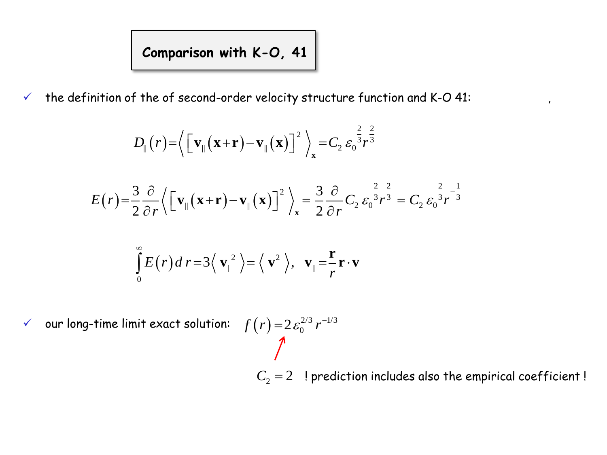# **Comparison with K-O, 41**

 $\checkmark$  the definition of the of second-order velocity structure function and K-O 41:  $\checkmark$ 

$$
D_{\parallel}(r) = \left\langle \left[ \mathbf{v}_{\parallel}(\mathbf{x}+\mathbf{r}) - \mathbf{v}_{\parallel}(\mathbf{x}) \right]^{2} \right\rangle_{\mathbf{x}} = C_{2} \varepsilon_{0}^{\frac{2}{3}} r^{\frac{2}{3}}
$$

$$
E(r) = \frac{3}{2} \frac{\partial}{\partial r} \left\{ \left[ \mathbf{v}_{\parallel}(\mathbf{x} + \mathbf{r}) - \mathbf{v}_{\parallel}(\mathbf{x}) \right] \right\}^{2}_{\mathbf{x}} = \frac{3}{2} \frac{\partial}{\partial r} C_{2} \varepsilon_{0}^{\frac{2}{3}} r^{\frac{2}{3}} = C_{2} \varepsilon_{0}^{\frac{2}{3}} r^{-\frac{1}{3}}
$$

$$
\int_{0}^{\infty} E(r) dr = 3 \langle \mathbf{v}_{\parallel}^{2} \rangle = \langle \mathbf{v}^{2} \rangle, \mathbf{v}_{\parallel} = \frac{\mathbf{r}}{r} \mathbf{r} \cdot \mathbf{v}
$$

 $\checkmark$  our long-time limit exact solution:  $f(r) = 2\,\varepsilon_0^{2/3}\,r^{-1/3}$  $f(r) = 2\varepsilon_0^{2/3} r^{-1}$ 

 $C_2 = 2$  ! prediction includes also the empirical coefficient !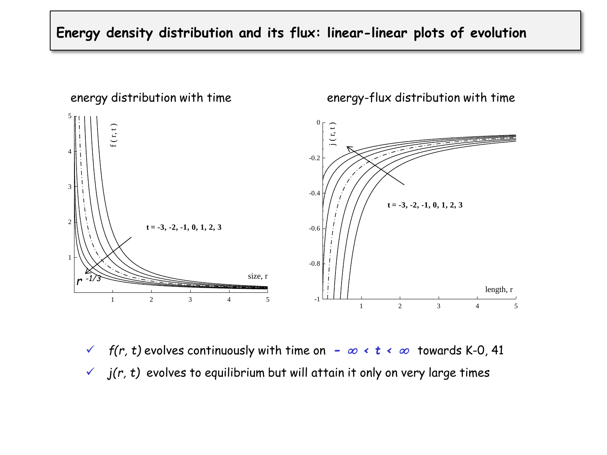### **Energy density distribution and its flux: linear-linear plots of evolution**



*f*(r, t) evolves continuously with time on  $\infty$   $\leftrightarrow$   $t \leftrightarrow \infty$  towards K-0, 41  $\checkmark$  *j(r, t)* evolves to equilibrium but will attain it only on very large times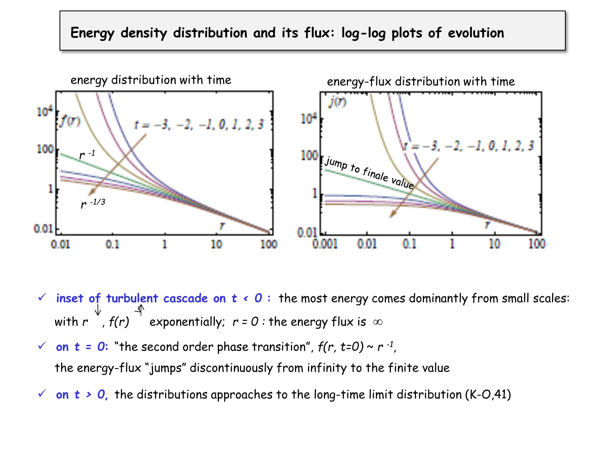### **Energy density distribution and its flux: log-log plots of evolution**



- $\checkmark$  inset of turbulent cascade on  $t \checkmark 0$ : the most energy comes dominantly from small scales: with  $r^{v}$ ,  $f(r)^{-1}$  exponentially;  $r = 0$ : the energy flux is  $\infty$
- $\checkmark$  on  $t = 0$ : "the second order phase transition",  $f(r, t=0) \sim r^{-1}$ , the energy-flux "jumps" discontinuously from infinity to the finite value
- $\check{\phantom{1}}$  on  $t > 0$ , the distributions approaches to the long-time limit distribution (K-O,41)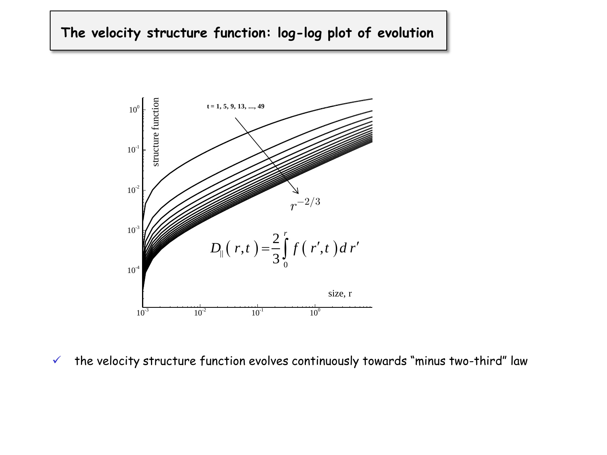### **The velocity structure function: log-log plot of evolution**



 $\checkmark$  the velocity structure function evolves continuously towards "minus two-third" law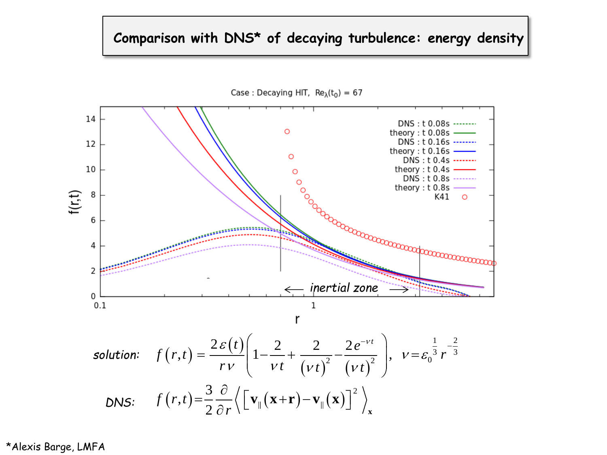### **Comparison with DNS\* of decaying turbulence: energy density**



\*Alexis Barge, LMFA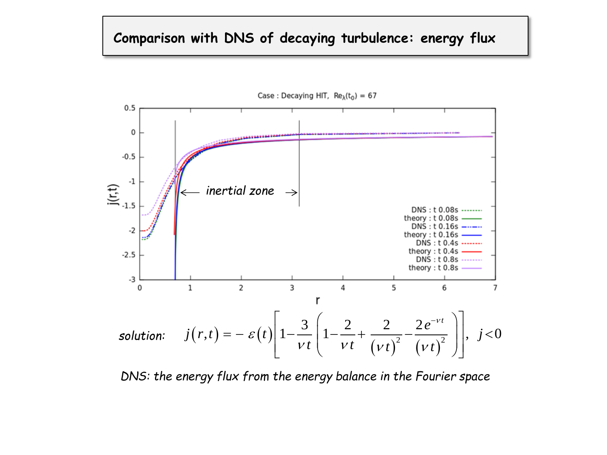### **Comparison with DNS of decaying turbulence: energy flux**



*DNS: the energy flux from the energy balance in the Fourier space*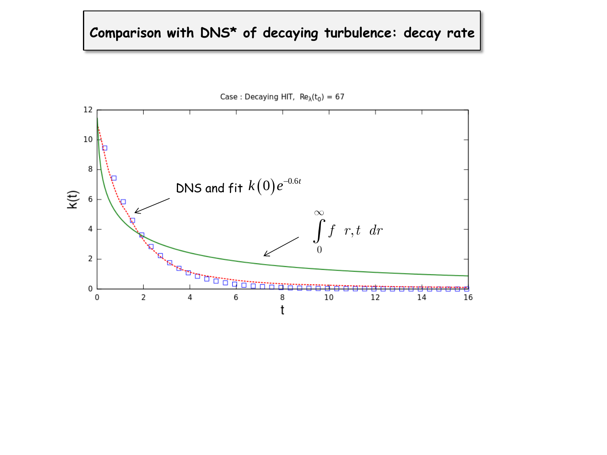# **Comparison with DNS\* of decaying turbulence: decay rate**